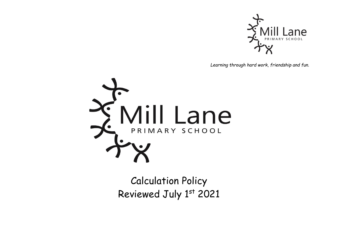

*Learning through hard work, friendship and fun.*



Calculation Policy Reviewed July 1st 2021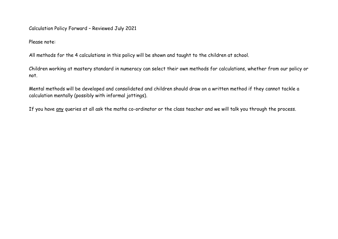Calculation Policy Forward – Reviewed July 2021

Please note:

All methods for the 4 calculations in this policy will be shown and taught to the children at school.

Children working at mastery standard in numeracy can select their own methods for calculations, whether from our policy or not.

Mental methods will be developed and consolidated and children should draw on a written method if they cannot tackle a calculation mentally (possibly with informal jottings).

If you have any queries at all ask the maths co-ordinator or the class teacher and we will talk you through the process.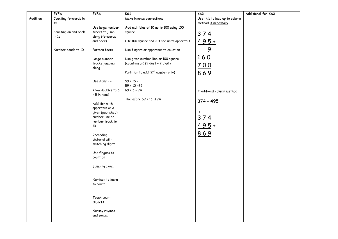|          | <b>EYFS</b>                   | <b>EYFS</b>                         | K51                                            | KS <sub>2</sub>               | Additional for KS2 |
|----------|-------------------------------|-------------------------------------|------------------------------------------------|-------------------------------|--------------------|
| Addition | Counting forwards in          |                                     | Make inverse connections                       | Use this to lead up to column |                    |
|          | 1s                            |                                     |                                                | method if necessary           |                    |
|          |                               | Use large number                    | Add multiples of 10 up to 100 using 100        |                               |                    |
|          | Counting on and back<br>in 1s | tracks to jump<br>along (forwards   | square                                         | 374                           |                    |
|          |                               | and back)                           | Use 100 square and 10s and units apparatus     |                               |                    |
|          |                               |                                     |                                                | $495+$                        |                    |
|          | Number bonds to 10            | Pattern facts                       | Use fingers or apparatus to count on           | 9                             |                    |
|          |                               | Large number                        | Use given number line or 100 square            | 160                           |                    |
|          |                               | tracks jumping                      | (counting on) (2 digit + 2 digit)              | 700                           |                    |
|          |                               | along                               |                                                |                               |                    |
|          |                               |                                     | Partition to add (2 <sup>nd</sup> number only) | 869                           |                    |
|          |                               | Use signs $+ =$                     | $59 + 15 =$                                    |                               |                    |
|          |                               |                                     | $59 + 10 = 69$                                 |                               |                    |
|          |                               | Know doubles to 5                   | $69 + 5 = 74$                                  | Traditional column method     |                    |
|          |                               | + 5 in head                         |                                                |                               |                    |
|          |                               |                                     | Therefore 59 + 15 is 74                        | $374 + 495$                   |                    |
|          |                               | Addition with                       |                                                |                               |                    |
|          |                               | apparatus or a<br>given (published) |                                                | $\mathbf{1}$                  |                    |
|          |                               | number line or                      |                                                | 374                           |                    |
|          |                               | number track to                     |                                                |                               |                    |
|          |                               | 10                                  |                                                | $495+$                        |                    |
|          |                               |                                     |                                                | 869                           |                    |
|          |                               | Recording                           |                                                |                               |                    |
|          |                               | pictorial with                      |                                                |                               |                    |
|          |                               | matching digits                     |                                                |                               |                    |
|          |                               | Use fingers to                      |                                                |                               |                    |
|          |                               | count on                            |                                                |                               |                    |
|          |                               | Jumping along.                      |                                                |                               |                    |
|          |                               |                                     |                                                |                               |                    |
|          |                               | Numicon to learn                    |                                                |                               |                    |
|          |                               | to count                            |                                                |                               |                    |
|          |                               |                                     |                                                |                               |                    |
|          |                               |                                     |                                                |                               |                    |
|          |                               | Touch count                         |                                                |                               |                    |
|          |                               | objects                             |                                                |                               |                    |
|          |                               | Nursey rhymes                       |                                                |                               |                    |
|          |                               | and songs.                          |                                                |                               |                    |
|          |                               |                                     |                                                |                               |                    |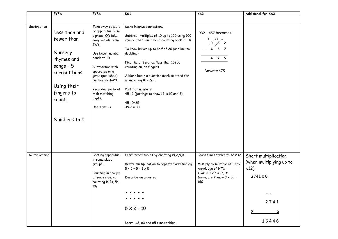|                | <b>EYFS</b>                                                                                                                               | <b>EYFS</b>                                                                                                                                                                                                                                                                     | K <sub>S1</sub>                                                                                                                                                                                                                                                                                                                                                                                                                            | KS2                                                                                                                                                                      | Additional for KS2                                                                                                      |
|----------------|-------------------------------------------------------------------------------------------------------------------------------------------|---------------------------------------------------------------------------------------------------------------------------------------------------------------------------------------------------------------------------------------------------------------------------------|--------------------------------------------------------------------------------------------------------------------------------------------------------------------------------------------------------------------------------------------------------------------------------------------------------------------------------------------------------------------------------------------------------------------------------------------|--------------------------------------------------------------------------------------------------------------------------------------------------------------------------|-------------------------------------------------------------------------------------------------------------------------|
|                |                                                                                                                                           |                                                                                                                                                                                                                                                                                 |                                                                                                                                                                                                                                                                                                                                                                                                                                            |                                                                                                                                                                          |                                                                                                                         |
| Subtraction    | Less than and<br>fewer than<br>Nursery<br>rhymes and<br>songs $-5$<br>current buns<br>Using their<br>fingers to<br>count.<br>Numbers to 5 | Take away objects<br>or apparatus from<br>a group. OR take<br>away visuals from<br>IWB.<br>Use known number<br>bonds to 10<br>Subtraction with<br>apparatus or a<br>given (published)<br>numberline to 20.<br>Recording pictoral<br>with matching<br>digits.<br>Use signs $-$ = | Make inverse connections<br>Subtract multiples of 10 up to 100 using 100<br>square and then in head counting back in 10s<br>To know halves up to half of 20 (and link to<br>doubling)<br>Find the difference (less than 10) by<br>counting on, on fingers<br>A blank box / a question mark to stand for<br>unknown eg 10 - $\Delta$ = 3<br>Partition numbers<br>45-12 (jottings to show 12 is 10 and 2)<br>$45 - 10 = 35$<br>$35 - 2 = 33$ | 932 - 457 becomes<br>8 12 1<br>$\mathscr{A}$ $\mathscr{A}$ 2<br>- 7<br>5.<br>4 7 5<br>Answer: 475                                                                        |                                                                                                                         |
| Multiplication |                                                                                                                                           | Sorting apparatus<br>in same sized<br>groups.<br>Counting in groups<br>of same size, eg<br>counting in 2s, 5s,<br>10 <sub>s</sub>                                                                                                                                               | Learn times tables by chanting x1,2,5,10<br>Relate multiplication to repeated addition eg<br>$5 + 5 + 5 = 3 \times 5$<br>Describe an array eg:<br>$5 \times 2 = 10$<br>Learn $x2$ , $x3$ and $x5$ times tables                                                                                                                                                                                                                             | Learn times tables to $12 \times 12$<br>Multiply by multiple of 10 by<br>knowledge of HTU:<br>$I$ know $3 \times 5 = 15$ , so<br>therefore I know $3 \times 50 =$<br>150 | Short multiplication<br>(when multiplying up to<br>x12)<br>$2741 \times 6$<br>4 <sub>2</sub><br>2741<br>х<br>6<br>16446 |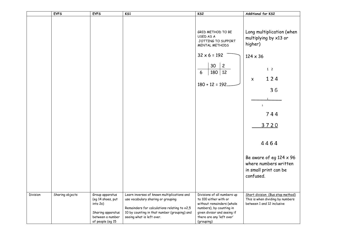|          | <b>EYFS</b>     | <b>EYFS</b>                                                                                                   | K51                                                                                                                                                                                                            | KS <sub>2</sub>                                                                                                                                                                         | Additional for KS2                                                                                 |
|----------|-----------------|---------------------------------------------------------------------------------------------------------------|----------------------------------------------------------------------------------------------------------------------------------------------------------------------------------------------------------------|-----------------------------------------------------------------------------------------------------------------------------------------------------------------------------------------|----------------------------------------------------------------------------------------------------|
|          |                 |                                                                                                               |                                                                                                                                                                                                                | GRID METHOD TO BE<br>USED AS A<br>JOTTING TO SUPPORT<br>MENTAL METHODS                                                                                                                  | Long multiplication (when<br>multiplying by x13 or<br>higher)                                      |
|          |                 |                                                                                                               |                                                                                                                                                                                                                | $32 \times 6 = 192$                                                                                                                                                                     | $124 \times 36$                                                                                    |
|          |                 |                                                                                                               |                                                                                                                                                                                                                | $30 \mid 2$<br>180 12<br>6<br>$180 + 12 = 192$                                                                                                                                          | $1\quad2$<br>124<br>X<br>36<br>$1\,$<br>744<br>3720<br>4464                                        |
|          |                 |                                                                                                               |                                                                                                                                                                                                                |                                                                                                                                                                                         | Be aware of eg $124 \times 96$<br>where numbers written<br>in small print can be<br>confused.      |
| Division | Sharing objects | Group apparatus<br>(eg 14 shoes, put<br>into 2s)<br>Sharing apparatus<br>between a number<br>of people (eg 15 | Learn inverses of known multiplications and<br>use vocabulary sharing or grouping<br>Remainders for calculations relating to x2,5<br>10 by counting in that number (grouping) and<br>seeing what is left over. | Divisions of all numbers up<br>to 100 either with or<br>without remainders (whole<br>numbers), by counting in<br>given divisor and seeing if<br>there are any 'left over'<br>(grouping) | Short division (Bus stop method)<br>This is when dividing by numbers<br>between 1 and 12 inclusive |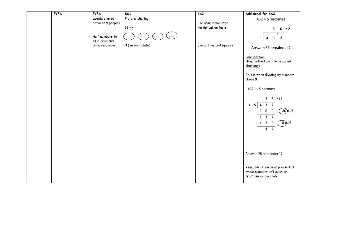| <b>EYFS</b> | <b>EYFS</b>                        | K51                     | KS <sub>2</sub>          | Additional for KS2                                                                                                                                            |
|-------------|------------------------------------|-------------------------|--------------------------|---------------------------------------------------------------------------------------------------------------------------------------------------------------|
|             | sweets shared<br>between 5 people) | Pictoral sharing        | ~Te using associated     | $432 \div 5$ becomes                                                                                                                                          |
|             |                                    | $12 \div 4 =$           | multiplication facts.    | 8<br>6 r 2                                                                                                                                                    |
|             | Half numbers to<br>10 in head and  | $\bullet\bullet\bullet$ |                          | $\overline{3}$<br>3 <sup>7</sup><br>5 <br>$\overline{\mathbf{2}}$<br>4                                                                                        |
|             | using resources.                   | 3 (in each plate)       | Linear lines and squares | Answer: 86 remainder 2                                                                                                                                        |
|             |                                    |                         |                          | Long division<br>(this method used to be called<br>chunking)                                                                                                  |
|             |                                    |                         |                          | This is when dividing by numbers<br>above 9                                                                                                                   |
|             |                                    |                         |                          | $432 \div 15$ becomes                                                                                                                                         |
|             |                                    |                         |                          | 8 r 12<br>$\mathbf{2}$<br>$1 \t5 \t4 \t3 \t2$<br>$\left(20\right) \times 15$<br>300<br>$1 \quad 3 \quad 2$<br>$8 \lambda$ 15<br>$1\quad 2$<br>0<br>$1\quad 2$ |
|             |                                    |                         |                          | Answer: 28 remainder 12                                                                                                                                       |
|             |                                    |                         |                          | Remainders can be expressed as<br>whole numbers left over, or<br>fractions or decimals.                                                                       |